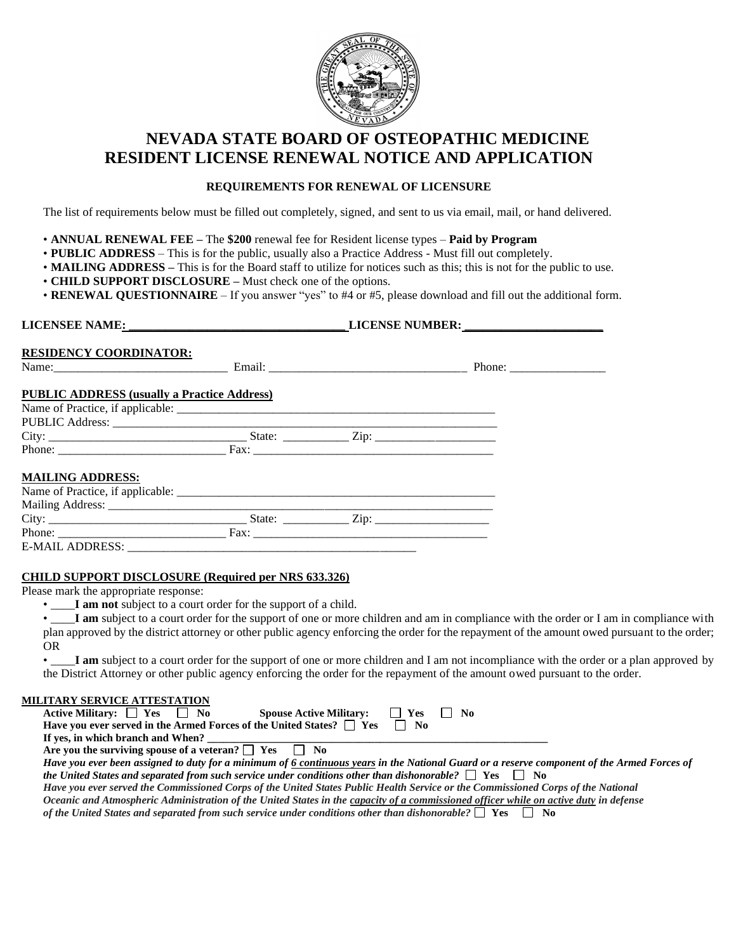

# **NEVADA STATE BOARD OF OSTEOPATHIC MEDICINE RESIDENT LICENSE RENEWAL NOTICE AND APPLICATION**

## **REQUIREMENTS FOR RENEWAL OF LICENSURE**

The list of requirements below must be filled out completely, signed, and sent to us via email, mail, or hand delivered.

- **ANNUAL RENEWAL FEE –** The **\$200** renewal fee for Resident license types **Paid by Program**
- **PUBLIC ADDRESS**  This is for the public, usually also a Practice Address Must fill out completely.
- **MAILING ADDRESS** This is for the Board staff to utilize for notices such as this; this is not for the public to use.
- **CHILD SUPPORT DISCLOSURE –** Must check one of the options.
- **RENEWAL QUESTIONNAIRE** If you answer "yes" to #4 or #5, please download and fill out the additional form.

| LICENSEE NAME: LICENSE NUMBER:                                                                                                                                                                                                 |  |  |  |  |
|--------------------------------------------------------------------------------------------------------------------------------------------------------------------------------------------------------------------------------|--|--|--|--|
| <b>RESIDENCY COORDINATOR:</b>                                                                                                                                                                                                  |  |  |  |  |
| Name: Phone: Phone: Phone: Phone: Phone: Phone: Phone: Phone: Phone: Phone: Phone: Phone: Phone: Phone: Phone: Phone: Phone: Phone: Phone: Phone: Phone: Phone: Phone: Phone: Phone: Phone: Phone: Phone: Phone: Phone: Phone: |  |  |  |  |
| <b>PUBLIC ADDRESS (usually a Practice Address)</b>                                                                                                                                                                             |  |  |  |  |
|                                                                                                                                                                                                                                |  |  |  |  |
|                                                                                                                                                                                                                                |  |  |  |  |
|                                                                                                                                                                                                                                |  |  |  |  |
|                                                                                                                                                                                                                                |  |  |  |  |
| <b>MAILING ADDRESS:</b>                                                                                                                                                                                                        |  |  |  |  |
|                                                                                                                                                                                                                                |  |  |  |  |
|                                                                                                                                                                                                                                |  |  |  |  |
|                                                                                                                                                                                                                                |  |  |  |  |
|                                                                                                                                                                                                                                |  |  |  |  |
|                                                                                                                                                                                                                                |  |  |  |  |

### **CHILD SUPPORT DISCLOSURE (Required per NRS 633.326)**

Please mark the appropriate response:

• \_\_\_\_**I am not** subject to a court order for the support of a child.

I am subject to a court order for the support of one or more children and am in compliance with the order or I am in compliance with plan approved by the district attorney or other public agency enforcing the order for the repayment of the amount owed pursuant to the order; OR

• I am subject to a court order for the support of one or more children and I am not incompliance with the order or a plan approved by the District Attorney or other public agency enforcing the order for the repayment of the amount owed pursuant to the order.

## **MILITARY SERVICE ATTESTATION**

| Active Military: $\Box$ Yes $\Box$ No<br>$\blacksquare$ Yes<br><b>Spouse Active Military:</b><br>N <sub>0</sub>                             |  |  |  |  |
|---------------------------------------------------------------------------------------------------------------------------------------------|--|--|--|--|
| Have you ever served in the Armed Forces of the United States? $\Box$ Yes $\Box$ No                                                         |  |  |  |  |
| If yes, in which branch and When?                                                                                                           |  |  |  |  |
| Are you the surviving spouse of a veteran? $\Box$ Yes $\Box$ No                                                                             |  |  |  |  |
| Have you ever been assigned to duty for a minimum of 6 continuous years in the National Guard or a reserve component of the Armed Forces of |  |  |  |  |
| the United States and separated from such service under conditions other than dishonorable? $\Box$ Yes $\Box$ No                            |  |  |  |  |
| Have you ever served the Commissioned Corps of the United States Public Health Service or the Commissioned Corps of the National            |  |  |  |  |
| Oceanic and Atmospheric Administration of the United States in the capacity of a commissioned officer while on active duty in defense       |  |  |  |  |
| of the United States and separated from such service under conditions other than dishonorable? $\Box$ Yes $\Box$ No                         |  |  |  |  |
|                                                                                                                                             |  |  |  |  |